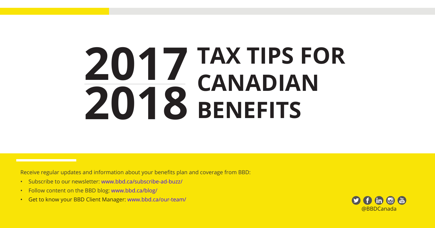# **TAX TIPS FOR CANADIAN BENEFITS 2017 2018**

Receive regular updates and information about your benefits plan and coverage from BBD:

- Subscribe to our newsletter: www.bbd.ca/subscribe-ad-buzz/
- Follow content on the BBD blog: www.bbd.ca/blog/
- Get to know your BBD Client Manager: www.bbd.ca/our-team/

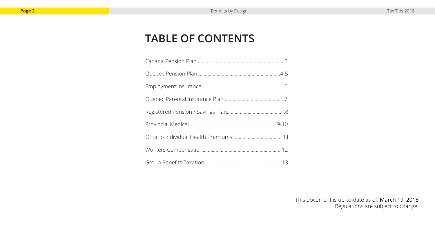#### **TABLE OF CONTENTS**

This document is up-to-date as of: March 19, 2018 Regulations are subject to change.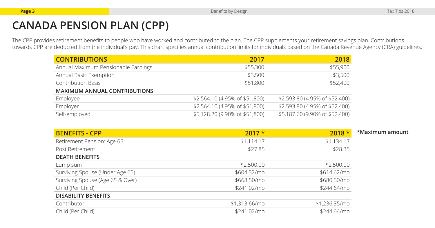## **CANADA PENSION PLAN (CPP)**

The CPP provides retirement benefits to people who have worked and contributed to the plan. The CPP supplements your retirement savings plan. Contributions towards CPP are deducted from the individual's pay. This chart specifies annual contribution limits for individuals based on the Canada Revenue Agency (CRA) guidelines.

| <b>CONTRIBUTIONS</b>                | 2017                           | 2018                           |
|-------------------------------------|--------------------------------|--------------------------------|
| Annual Maximum Pensionable Earnings | \$55,300                       | \$55,900                       |
| Annual Basic Exemption              | \$3,500                        | \$3,500                        |
| <b>Contribution Basis</b>           | \$51,800                       | \$52,400                       |
| <b>MAXIMUM ANNUAL CONTRIBUTIONS</b> |                                |                                |
| Employee                            | \$2,564.10 (4.95% of \$51,800) | \$2,593.80 (4.95% of \$52,400) |
| Employer                            | \$2,564.10 (4.95% of \$51,800) | \$2,593.80 (4.95% of \$52,400) |
| Self-employed                       | \$5,128.20 (9.90% of \$51,800) | \$5,187.60 (9.90% of \$52,400) |

| <b>BENEFITS - CPP</b>            | $2017 *$      | $2018*$       | *Maximum amount |
|----------------------------------|---------------|---------------|-----------------|
| Retirement Pension: Age 65       | \$1,114.17    | \$1,134.17    |                 |
| Post Retirement                  | \$27.85       | \$28.35       |                 |
| <b>DEATH BENEFITS</b>            |               |               |                 |
| Lump sum                         | \$2,500.00    | \$2,500.00    |                 |
| Surviving Spouse (Under Age 65)  | \$604.32/mo   | \$614.62/mo   |                 |
| Surviving Spouse (Age 65 & Over) | \$668.50/mo   | \$680.50/mo   |                 |
| Child (Per Child)                | \$241.02/mo   | \$244,64/mo   |                 |
| <b>DISABILITY BENEFITS</b>       |               |               |                 |
| Contributor                      | \$1,313.66/mo | \$1,236.35/mo |                 |
| Child (Per Child)                | \$241.02/mo   | \$244,64/mo   |                 |
|                                  |               |               |                 |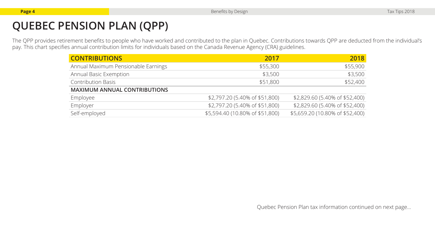# **QUEBEC PENSION PLAN (QPP)**

The QPP provides retirement benefits to people who have worked and contributed to the plan in Quebec. Contributions towards QPP are deducted from the individual's pay. This chart specifies annual contribution limits for individuals based on the Canada Revenue Agency (CRA) guidelines.

| <b>CONTRIBUTIONS</b>                | 2017                            | 2018                            |
|-------------------------------------|---------------------------------|---------------------------------|
| Annual Maximum Pensionable Earnings | \$55,300                        | \$55,900                        |
| Annual Basic Exemption              | \$3,500                         | \$3,500                         |
| <b>Contribution Basis</b>           | \$51,800                        | \$52,400                        |
| <b>MAXIMUM ANNUAL CONTRIBUTIONS</b> |                                 |                                 |
| Employee                            | \$2,797.20 (5.40% of \$51,800)  | \$2,829.60 (5.40% of \$52,400)  |
| Employer                            | \$2,797.20 (5.40% of \$51,800)  | \$2,829.60 (5.40% of \$52,400)  |
| Self-employed                       | \$5,594.40 (10.80% of \$51,800) | \$5,659.20 (10.80% of \$52,400) |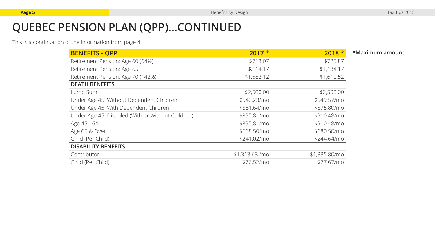## **QUEBEC PENSION PLAN (QPP)...CONTINUED**

This is a continuation of the information from page 4.

| <b>BENEFITS - QPP</b>                             | $2017*$         | $2018 *$      | *Maximum amount |
|---------------------------------------------------|-----------------|---------------|-----------------|
| Retirement Pension: Age 60 (64%)                  | \$713.07        | \$725.87      |                 |
| Retirement Pension: Age 65                        | \$,114.17       | \$1,134.17    |                 |
| Retirement Pension: Age 70 (142%)                 | \$1,582.12      | \$1,610.52    |                 |
| <b>DEATH BENEFITS</b>                             |                 |               |                 |
| Lump Sum                                          | \$2,500.00      | \$2,500.00    |                 |
| Under Age 45: Without Dependent Children          | \$540.23/mo     | \$549.57/mo   |                 |
| Under Age 45: With Dependent Children             | \$861.64/mo     | \$875.80/mo   |                 |
| Under Age 45: Disabled (With or Without Children) | \$895.81/mo     | \$910.48/mo   |                 |
| Age 45 - 64                                       | \$895.81/mo     | \$910.48/mo   |                 |
| Age 65 & Over                                     | \$668.50/mo     | \$680.50/mo   |                 |
| Child (Per Child)                                 | \$241.02/mo     | \$244,64/mo   |                 |
| <b>DISABILITY BENEFITS</b>                        |                 |               |                 |
| Contributor                                       | $$1,313.63$ /mo | \$1,335.80/mo |                 |
| Child (Per Child)                                 | \$76.52/mo      | \$77.67/mo    |                 |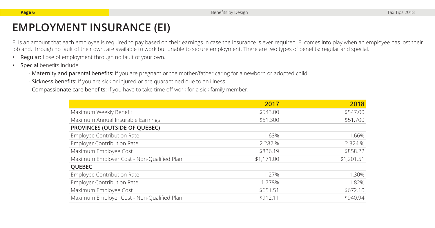EI is an amount that each employee is required to pay based on their earnings in case the insurance is ever required. EI comes into play when an employee has lost their job and, through no fault of their own, are available to work but unable to secure employment. There are two types of benefits: regular and special.

- Regular: Lose of employment through no fault of your own.
- Special benefits include:
	- Maternity and parental benefits: If you are pregnant or the mother/father caring for a newborn or adopted child.
	- Sickness benefits: If you are sick or injured or are quarantined due to an illness.
	- Compassionate care benefits: If you have to take time off work for a sick family member.

|                                            | 2017       | 2018       |
|--------------------------------------------|------------|------------|
| Maximum Weekly Benefit                     | \$543.00   | \$547.00   |
| Maximum Annual Insurable Earnings          | \$51,300   | \$51,700   |
| PROVINCES (OUTSIDE OF QUEBEC)              |            |            |
| Employee Contribution Rate                 | 1.63%      | 1.66%      |
| <b>Employer Contribution Rate</b>          | 2.282 %    | 2.324 %    |
| Maximum Employee Cost                      | \$836.19   | \$858.22   |
| Maximum Employer Cost - Non-Qualified Plan | \$1,171.00 | \$1,201.51 |
| <b>QUEBEC</b>                              |            |            |
| <b>Employee Contribution Rate</b>          | 1.27%      | 1.30%      |
| <b>Employer Contribution Rate</b>          | 1.778%     | 1.82%      |
| Maximum Employee Cost                      | \$651.51   | \$672.10   |
| Maximum Employer Cost - Non-Qualified Plan | \$912.11   | \$940.94   |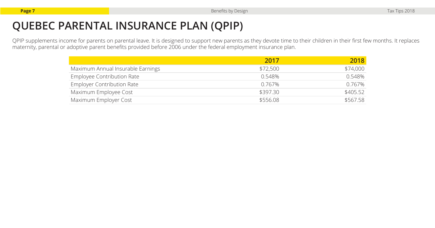## **QUEBEC PARENTAL INSURANCE PLAN (QPIP)**

QPIP supplements income for parents on parental leave. It is designed to support new parents as they devote time to their children in their first few months. It replaces maternity, parental or adoptive parent benefits provided before 2006 under the federal employment insurance plan.

|                                   | 2017     | 2018     |
|-----------------------------------|----------|----------|
| Maximum Annual Insurable Earnings | \$72,500 | \$74,000 |
| Employee Contribution Rate        | 0.548%   | 0.548%   |
| <b>Employer Contribution Rate</b> | 0.767%   | 0.767%   |
| Maximum Employee Cost             | \$397.30 | \$405.52 |
| Maximum Employer Cost             | \$556.08 | \$567.58 |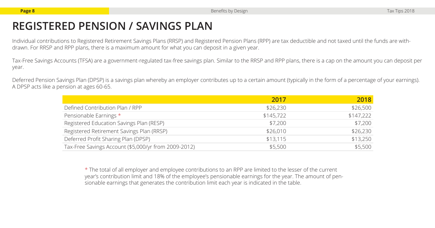#### **REGISTERED PENSION / SAVINGS PLAN**

Individual contributions to Registered Retirement Savings Plans (RRSP) and Registered Pension Plans (RPP) are tax deductible and not taxed until the funds are withdrawn. For RRSP and RPP plans, there is a maximum amount for what you can deposit in a given year.

Tax-Free Savings Accounts (TFSA) are a government-regulated tax-free savings plan. Similar to the RRSP and RPP plans, there is a cap on the amount you can deposit per year.

Deferred Pension Savings Plan (DPSP) is a savings plan whereby an employer contributes up to a certain amount (typically in the form of a percentage of your earnings). A DPSP acts like a pension at ages 60-65.

|                                                      | 2017      | 2018      |
|------------------------------------------------------|-----------|-----------|
| Defined Contribution Plan / RPP                      | \$26,230  | \$26,500  |
| Pensionable Earnings *                               | \$145,722 | \$147,222 |
| Registered Education Savings Plan (RESP)             | \$7,200   | \$7,200   |
| Registered Retirement Savings Plan (RRSP)            | \$26,010  | \$26,230  |
| Deferred Profit Sharing Plan (DPSP)                  | \$13,115  | \$13,250  |
| Tax-Free Savings Account (\$5,000/yr from 2009-2012) | \$5,500   | \$5,500   |

\* The total of all employer and employee contributions to an RPP are limited to the lesser of the current year's contribution limit and 18% of the employee's pensionable earnings for the year. The amount of pensionable earnings that generates the contribution limit each year is indicated in the table.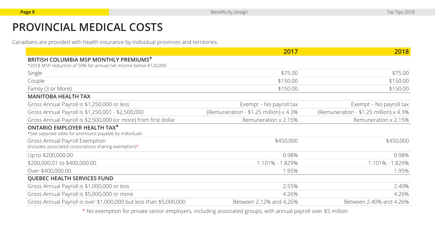## **PROVINCIAL MEDICAL COSTS**

Canadians are provided with health insurance by individual provinces and territories.

|                                                                                                            | 2017                                    | 2018                                    |
|------------------------------------------------------------------------------------------------------------|-----------------------------------------|-----------------------------------------|
| BRITISH COLUMBIA MSP MONTHLY PREMIUMS*<br>*2018 MSP reduction of 50% for annual net income below \$120,000 |                                         |                                         |
| Single                                                                                                     | \$75.00                                 | \$75.00                                 |
| Couple                                                                                                     | \$150.00                                | \$150.00                                |
| Family (3 or More)                                                                                         | \$150.00                                | \$150.00                                |
| <b>MANITOBA HEALTH TAX</b>                                                                                 |                                         |                                         |
| Gross Annual Payroll is \$1,250,000 or less                                                                | Exempt - No payroll tax                 | Exempt – No payroll tax                 |
| Gross Annual Payroll is \$1,250,001 - \$2,500,000                                                          | (Remuneration - $$1.25$ million) x 4.3% | (Remuneration - $$1.25$ million) x 4.3% |
| Gross Annual Payroll is \$2,500,000 (or more) from first dollar                                            | Remuneration x 2.15%                    | Remuneration x 2.15%                    |
| <b>ONTARIO EMPLOYER HEALTH TAX*</b><br>*See separate table for premiums payable by individuals             |                                         |                                         |
| Gross Annual Payroll Exemption<br>(Includes associated corporations sharing exemption)*                    | \$450,000                               | \$450,000                               |
| Up to \$200,000.00                                                                                         | 0.98%                                   | 0.98%                                   |
| \$200,000.01 to \$400,000.00                                                                               | 1.101% - 1.829%                         | 1.101% - 1.829%                         |
| Over \$400,000.00                                                                                          | 1.95%                                   | 1.95%                                   |
| <b>QUEBEC HEALTH SERVICES FUND</b>                                                                         |                                         |                                         |
| Gross Annual Payroll is \$1,000,000 or less                                                                | 2.55%                                   | 2.40%                                   |
| Gross Annual Payroll is \$5,000,000 or more                                                                | 4.26%                                   | 4.26%                                   |
| Gross Annual Payroll is over \$1,000,000 but less than \$5,000,000                                         | Between 2.12% and 4.26%                 | Between 2.40% and 4.26%                 |

\* No exemption for private sector employers, including associated groups, with annual payroll over \$5 million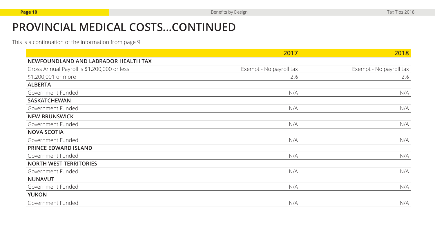## **PROVINCIAL MEDICAL COSTS...CONTINUED**

This is a continuation of the information from page 9.

|                                             | 2017                    | 2018                    |
|---------------------------------------------|-------------------------|-------------------------|
| NEWFOUNDLAND AND LABRADOR HEALTH TAX        |                         |                         |
| Gross Annual Payroll is \$1,200,000 or less | Exempt - No payroll tax | Exempt - No payroll tax |
| \$1,200,001 or more                         | 2%                      | 2%                      |
| <b>ALBERTA</b>                              |                         |                         |
| Government Funded                           | N/A                     | N/A                     |
| <b>SASKATCHEWAN</b>                         |                         |                         |
| Government Funded                           | N/A                     | N/A                     |
| <b>NEW BRUNSWICK</b>                        |                         |                         |
| Government Funded                           | N/A                     | N/A                     |
| <b>NOVA SCOTIA</b>                          |                         |                         |
| Government Funded                           | N/A                     | N/A                     |
| <b>PRINCE EDWARD ISLAND</b>                 |                         |                         |
| Government Funded                           | N/A                     | N/A                     |
| <b>NORTH WEST TERRITORIES</b>               |                         |                         |
| Government Funded                           | N/A                     | N/A                     |
| <b>NUNAVUT</b>                              |                         |                         |
| Government Funded                           | N/A                     | N/A                     |
| <b>YUKON</b>                                |                         |                         |
| Government Funded                           | N/A                     | N/A                     |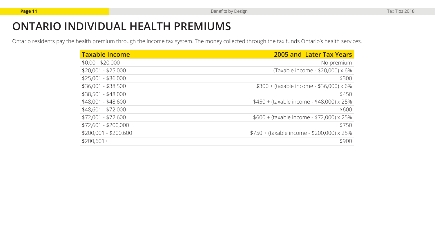#### **ONTARIO INDIVIDUAL HEALTH PREMIUMS**

Ontario residents pay the health premium through the income tax system. The money collected through the tax funds Ontario's health services.

| <b>Taxable Income</b> | 2005 and Later Tax Years                         |
|-----------------------|--------------------------------------------------|
| $$0.00 - $20,000$     | No premium                                       |
| $$20,001 - $25,000$   | (Taxable income - \$20,000) x 6%                 |
| $$25,001 - $36,000$   | \$300                                            |
| $$36,001 - $38,500$   | $$300 + (taxable income - $36,000) \times 6\%$   |
| $$38,501 - $48,000$   | \$450                                            |
| $$48,001 - $48,600$   | \$450 + (taxable income - \$48,000) x 25%        |
| $$48,601 - $72,000$   | \$600                                            |
| $$72,001 - $72,600$   | $$600 + (taxable income - $72,000) \times 25\%$  |
| $$72,601 - $200,000$  | \$750                                            |
| $$200,001 - $200,600$ | $$750 + (taxable income - $200,000) \times 25\%$ |
| $$200,601+$           | \$900                                            |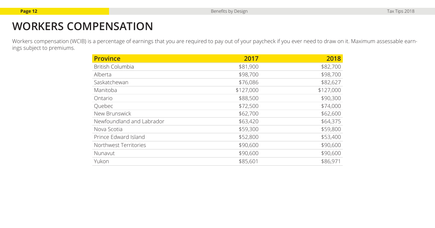## **WORKERS COMPENSATION**

Workers compensation (WCIB) is a percentage of earnings that you are required to pay out of your paycheck if you ever need to draw on it. Maximum assessable earnings subject to premiums.

| <b>Province</b>           | 2017      | 2018      |
|---------------------------|-----------|-----------|
| <b>British Columbia</b>   | \$81,900  | \$82,700  |
| Alberta                   | \$98,700  | \$98,700  |
| Saskatchewan              | \$76,086  | \$82,627  |
| Manitoba                  | \$127,000 | \$127,000 |
| Ontario                   | \$88,500  | \$90,300  |
| Quebec                    | \$72,500  | \$74,000  |
| New Brunswick             | \$62,700  | \$62,600  |
| Newfoundland and Labrador | \$63,420  | \$64,375  |
| Nova Scotia               | \$59,300  | \$59,800  |
| Prince Edward Island      | \$52,800  | \$53,400  |
| Northwest Territories     | \$90,600  | \$90,600  |
| Nunavut                   | \$90,600  | \$90,600  |
| Yukon                     | \$85,601  | \$86,971  |